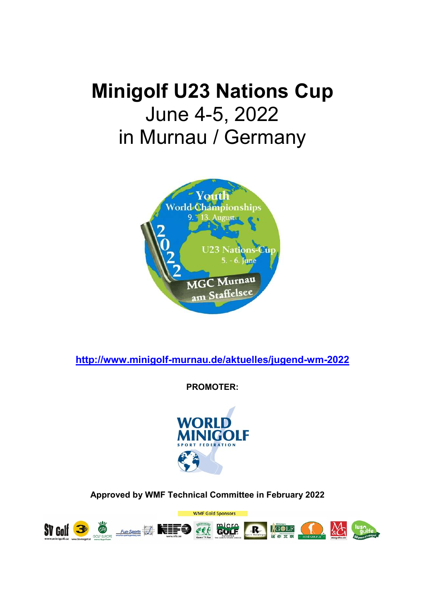# Minigolf U23 Nations Cup June 4-5, 2022 in Murnau / Germany



http://www.minigolf-murnau.de/aktuelles/jugend-wm-2022

PROMOTER:



Approved by WMF Technical Committee in February 2022

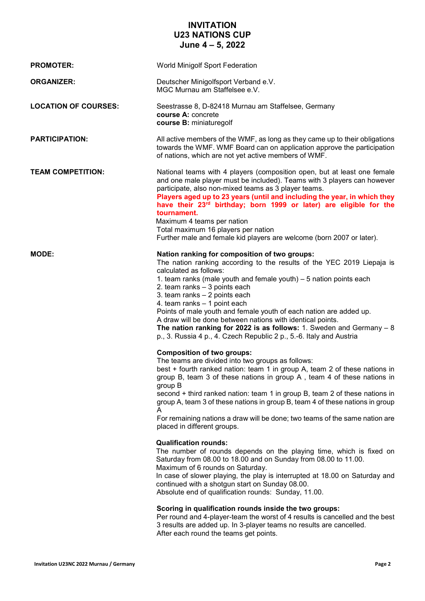#### INVITATION U23 NATIONS CUP June 4 – 5, 2022

| <b>PROMOTER:</b>            | World Minigolf Sport Federation                                                                                                                                                                                                                                                                                                                                                                                                                                                                                                                                                                               |
|-----------------------------|---------------------------------------------------------------------------------------------------------------------------------------------------------------------------------------------------------------------------------------------------------------------------------------------------------------------------------------------------------------------------------------------------------------------------------------------------------------------------------------------------------------------------------------------------------------------------------------------------------------|
| <b>ORGANIZER:</b>           | Deutscher Minigolfsport Verband e.V.<br>MGC Murnau am Staffelsee e.V.                                                                                                                                                                                                                                                                                                                                                                                                                                                                                                                                         |
| <b>LOCATION OF COURSES:</b> | Seestrasse 8, D-82418 Murnau am Staffelsee, Germany<br>course A: concrete<br>course B: miniaturegolf                                                                                                                                                                                                                                                                                                                                                                                                                                                                                                          |
| <b>PARTICIPATION:</b>       | All active members of the WMF, as long as they came up to their obligations<br>towards the WMF. WMF Board can on application approve the participation<br>of nations, which are not yet active members of WMF.                                                                                                                                                                                                                                                                                                                                                                                                |
| <b>TEAM COMPETITION:</b>    | National teams with 4 players (composition open, but at least one female<br>and one male player must be included). Teams with 3 players can however<br>participate, also non-mixed teams as 3 player teams.<br>Players aged up to 23 years (until and including the year, in which they<br>have their 23rd birthday; born 1999 or later) are eligible for the<br>tournament.<br>Maximum 4 teams per nation<br>Total maximum 16 players per nation<br>Further male and female kid players are welcome (born 2007 or later).                                                                                    |
| <b>MODE:</b>                | Nation ranking for composition of two groups:<br>The nation ranking according to the results of the YEC 2019 Liepaja is<br>calculated as follows:<br>1. team ranks (male youth and female youth) – 5 nation points each<br>2. team ranks - 3 points each<br>3. team ranks - 2 points each<br>4. team ranks - 1 point each<br>Points of male youth and female youth of each nation are added up.<br>A draw will be done between nations with identical points.<br>The nation ranking for 2022 is as follows: 1. Sweden and Germany $-8$<br>p., 3. Russia 4 p., 4. Czech Republic 2 p., 5.-6. Italy and Austria |
|                             | <b>Composition of two groups:</b><br>The teams are divided into two groups as follows:<br>best + fourth ranked nation: team 1 in group A, team 2 of these nations in<br>group B, team 3 of these nations in group A, team 4 of these nations in<br>group B<br>second + third ranked nation: team 1 in group B, team 2 of these nations in<br>group A, team 3 of these nations in group B, team 4 of these nations in group<br>A<br>For remaining nations a draw will be done; two teams of the same nation are<br>placed in different groups.                                                                 |
|                             | <b>Qualification rounds:</b><br>The number of rounds depends on the playing time, which is fixed on<br>Saturday from 08.00 to 18.00 and on Sunday from 08.00 to 11.00.<br>Maximum of 6 rounds on Saturday.<br>In case of slower playing, the play is interrupted at 18.00 on Saturday and<br>continued with a shotgun start on Sunday 08.00.<br>Absolute end of qualification rounds: Sunday, 11.00.                                                                                                                                                                                                          |
|                             | Scoring in qualification rounds inside the two groups:<br>Per round and 4-player-team the worst of 4 results is cancelled and the best<br>3 results are added up. In 3-player teams no results are cancelled.<br>After each round the teams get points.                                                                                                                                                                                                                                                                                                                                                       |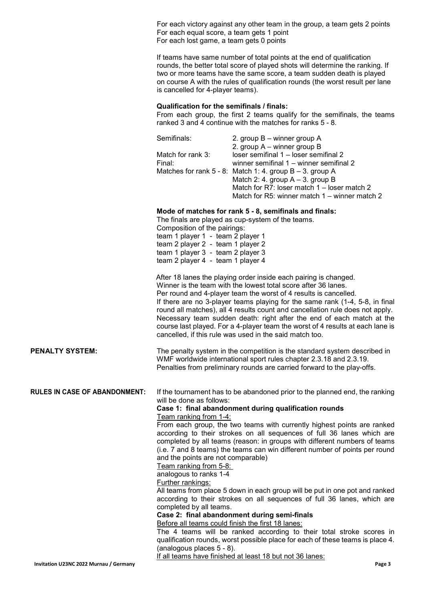For each victory against any other team in the group, a team gets 2 points For each equal score, a team gets 1 point For each lost game, a team gets 0 points

If teams have same number of total points at the end of qualification rounds, the better total score of played shots will determine the ranking. If two or more teams have the same score, a team sudden death is played on course A with the rules of qualification rounds (the worst result per lane is cancelled for 4-player teams).

#### Qualification for the semifinals / finals:

From each group, the first 2 teams qualify for the semifinals, the teams ranked 3 and 4 continue with the matches for ranks 5 - 8.

|                                      | Semifinals:<br>Match for rank 3:<br>Final:                                                                                                                                                          | 2. group B – winner group A<br>2. group A - winner group B<br>loser semifinal 1 - loser semifinal 2<br>winner semifinal 1 - winner semifinal 2<br>Matches for rank 5 - 8: Match 1: 4. group B - 3. group A<br>Match 2: 4. group $A - 3$ . group B<br>Match for R7: loser match 1 – loser match 2<br>Match for R5: winner match 1 – winner match 2                                                                                                                                                                                                                                                               |  |
|--------------------------------------|-----------------------------------------------------------------------------------------------------------------------------------------------------------------------------------------------------|-----------------------------------------------------------------------------------------------------------------------------------------------------------------------------------------------------------------------------------------------------------------------------------------------------------------------------------------------------------------------------------------------------------------------------------------------------------------------------------------------------------------------------------------------------------------------------------------------------------------|--|
|                                      | Composition of the pairings:<br>team 1 player 1 - team 2 player 1<br>team 2 player 2 - team 1 player 2<br>team 1 player 3 - team 2 player 3<br>team 2 player 4 - team 1 player 4                    | Mode of matches for rank 5 - 8, semifinals and finals:<br>The finals are played as cup-system of the teams.                                                                                                                                                                                                                                                                                                                                                                                                                                                                                                     |  |
|                                      |                                                                                                                                                                                                     | After 18 lanes the playing order inside each pairing is changed.<br>Winner is the team with the lowest total score after 36 lanes.<br>Per round and 4-player team the worst of 4 results is cancelled.<br>If there are no 3-player teams playing for the same rank (1-4, 5-8, in final<br>round all matches), all 4 results count and cancellation rule does not apply.<br>Necessary team sudden death: right after the end of each match at the<br>course last played. For a 4-player team the worst of 4 results at each lane is<br>cancelled, if this rule was used in the said match too.                   |  |
| <b>PENALTY SYSTEM:</b>               |                                                                                                                                                                                                     | The penalty system in the competition is the standard system described in<br>WMF worldwide international sport rules chapter 2.3.18 and 2.3.19.<br>Penalties from preliminary rounds are carried forward to the play-offs.                                                                                                                                                                                                                                                                                                                                                                                      |  |
| <b>RULES IN CASE OF ABANDONMENT:</b> | will be done as follows:<br>Team ranking from 1-4:<br>and the points are not comparable)<br>Team ranking from 5-8:<br>analogous to ranks 1-4<br><b>Further rankings:</b><br>completed by all teams. | If the tournament has to be abandoned prior to the planned end, the ranking<br>Case 1: final abandonment during qualification rounds<br>From each group, the two teams with currently highest points are ranked<br>according to their strokes on all sequences of full 36 lanes which are<br>completed by all teams (reason: in groups with different numbers of teams<br>(i.e. 7 and 8 teams) the teams can win different number of points per round<br>All teams from place 5 down in each group will be put in one pot and ranked<br>according to their strokes on all sequences of full 36 lanes, which are |  |

Case 2: final abandonment during semi-finals

Before all teams could finish the first 18 lanes:

The 4 teams will be ranked according to their total stroke scores in qualification rounds, worst possible place for each of these teams is place 4. (analogous places 5 - 8).

If all teams have finished at least 18 but not 36 lanes: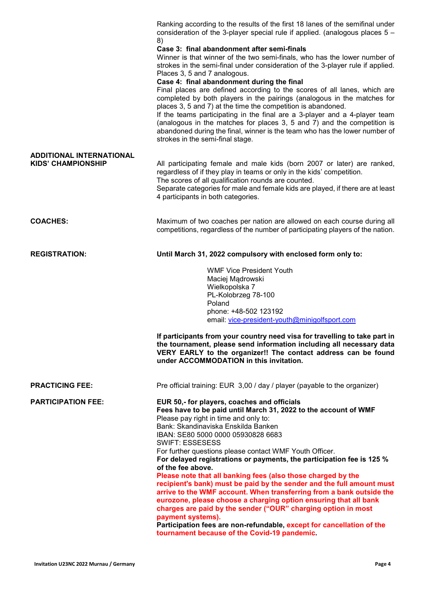|                                 | Ranking according to the results of the first 18 lanes of the semifinal under<br>consideration of the 3-player special rule if applied. (analogous places $5 -$<br>8)                                                                                                                                                                                                                                                                                                                          |
|---------------------------------|------------------------------------------------------------------------------------------------------------------------------------------------------------------------------------------------------------------------------------------------------------------------------------------------------------------------------------------------------------------------------------------------------------------------------------------------------------------------------------------------|
|                                 | Case 3: final abandonment after semi-finals<br>Winner is that winner of the two semi-finals, who has the lower number of<br>strokes in the semi-final under consideration of the 3-player rule if applied.<br>Places 3, 5 and 7 analogous.<br>Case 4: final abandonment during the final                                                                                                                                                                                                       |
|                                 | Final places are defined according to the scores of all lanes, which are<br>completed by both players in the pairings (analogous in the matches for<br>places 3, 5 and 7) at the time the competition is abandoned.<br>If the teams participating in the final are a 3-player and a 4-player team<br>(analogous in the matches for places 3, 5 and 7) and the competition is<br>abandoned during the final, winner is the team who has the lower number of<br>strokes in the semi-final stage. |
| <b>ADDITIONAL INTERNATIONAL</b> |                                                                                                                                                                                                                                                                                                                                                                                                                                                                                                |
| <b>KIDS' CHAMPIONSHIP</b>       | All participating female and male kids (born 2007 or later) are ranked,<br>regardless of if they play in teams or only in the kids' competition.<br>The scores of all qualification rounds are counted.<br>Separate categories for male and female kids are played, if there are at least<br>4 participants in both categories.                                                                                                                                                                |
|                                 |                                                                                                                                                                                                                                                                                                                                                                                                                                                                                                |
| <b>COACHES:</b>                 | Maximum of two coaches per nation are allowed on each course during all<br>competitions, regardless of the number of participating players of the nation.                                                                                                                                                                                                                                                                                                                                      |
| <b>REGISTRATION:</b>            | Until March 31, 2022 compulsory with enclosed form only to:                                                                                                                                                                                                                                                                                                                                                                                                                                    |
|                                 | <b>WMF Vice President Youth</b><br>Maciej Mądrowski                                                                                                                                                                                                                                                                                                                                                                                                                                            |
|                                 | Wielkopolska 7<br>PL-Kolobrzeg 78-100                                                                                                                                                                                                                                                                                                                                                                                                                                                          |
|                                 | Poland                                                                                                                                                                                                                                                                                                                                                                                                                                                                                         |
|                                 | phone: +48-502 123192                                                                                                                                                                                                                                                                                                                                                                                                                                                                          |
|                                 | email: vice-president-youth@minigolfsport.com                                                                                                                                                                                                                                                                                                                                                                                                                                                  |
|                                 | If participants from your country need visa for travelling to take part in<br>the tournament, please send information including all necessary data<br>VERY EARLY to the organizer!! The contact address can be found<br>under ACCOMMODATION in this invitation.                                                                                                                                                                                                                                |
| <b>PRACTICING FEE:</b>          | Pre official training: EUR 3,00 / day / player (payable to the organizer)                                                                                                                                                                                                                                                                                                                                                                                                                      |
| <b>PARTICIPATION FEE:</b>       | EUR 50,- for players, coaches and officials<br>Fees have to be paid until March 31, 2022 to the account of WMF                                                                                                                                                                                                                                                                                                                                                                                 |
|                                 | Please pay right in time and only to:<br>Bank: Skandinaviska Enskilda Banken                                                                                                                                                                                                                                                                                                                                                                                                                   |
|                                 | IBAN: SE80 5000 0000 05930828 6683                                                                                                                                                                                                                                                                                                                                                                                                                                                             |
|                                 | <b>SWIFT: ESSESESS</b>                                                                                                                                                                                                                                                                                                                                                                                                                                                                         |
|                                 | For further questions please contact WMF Youth Officer.<br>For delayed registrations or payments, the participation fee is 125 %                                                                                                                                                                                                                                                                                                                                                               |
|                                 | of the fee above.                                                                                                                                                                                                                                                                                                                                                                                                                                                                              |
|                                 | Please note that all banking fees (also those charged by the<br>recipient's bank) must be paid by the sender and the full amount must<br>arrive to the WMF account. When transferring from a bank outside the                                                                                                                                                                                                                                                                                  |
|                                 | eurozone, please choose a charging option ensuring that all bank<br>charges are paid by the sender ("OUR" charging option in most                                                                                                                                                                                                                                                                                                                                                              |
|                                 | payment systems).<br>Participation fees are non-refundable, except for cancellation of the<br>tournament because of the Covid-19 pandemic.                                                                                                                                                                                                                                                                                                                                                     |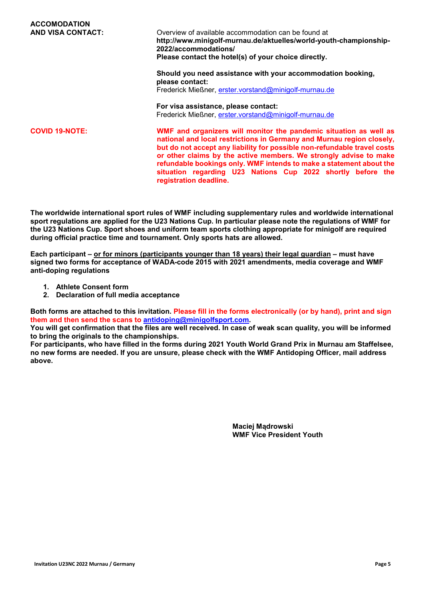| <b>ACCOMODATION</b>      |                                                                                                                                                                                                                                                                                                                                                                                                                                                             |
|--------------------------|-------------------------------------------------------------------------------------------------------------------------------------------------------------------------------------------------------------------------------------------------------------------------------------------------------------------------------------------------------------------------------------------------------------------------------------------------------------|
| <b>AND VISA CONTACT:</b> | Overview of available accommodation can be found at<br>http://www.minigolf-murnau.de/aktuelles/world-youth-championship-<br>2022/accommodations/<br>Please contact the hotel(s) of your choice directly.                                                                                                                                                                                                                                                    |
|                          | Should you need assistance with your accommodation booking,<br>please contact:                                                                                                                                                                                                                                                                                                                                                                              |
|                          | Frederick Mießner, erster.vorstand@minigolf-murnau.de                                                                                                                                                                                                                                                                                                                                                                                                       |
|                          | For visa assistance, please contact:                                                                                                                                                                                                                                                                                                                                                                                                                        |
|                          | Frederick Mießner, erster.vorstand@minigolf-murnau.de                                                                                                                                                                                                                                                                                                                                                                                                       |
| <b>COVID 19-NOTE:</b>    | WMF and organizers will monitor the pandemic situation as well as<br>national and local restrictions in Germany and Murnau region closely,<br>but do not accept any liability for possible non-refundable travel costs<br>or other claims by the active members. We strongly advise to make<br>refundable bookings only. WMF intends to make a statement about the<br>situation regarding U23 Nations Cup 2022 shortly before the<br>registration deadline. |

The worldwide international sport rules of WMF including supplementary rules and worldwide international sport regulations are applied for the U23 Nations Cup. In particular please note the regulations of WMF for the U23 Nations Cup. Sport shoes and uniform team sports clothing appropriate for minigolf are required during official practice time and tournament. Only sports hats are allowed.

Each participant – or for minors (participants younger than 18 years) their legal guardian – must have signed two forms for acceptance of WADA-code 2015 with 2021 amendments, media coverage and WMF anti-doping regulations

- 1. Athlete Consent form
- 2. Declaration of full media acceptance

Both forms are attached to this invitation. Please fill in the forms electronically (or by hand), print and sign them and then send the scans to antidoping@minigolfsport.com.

You will get confirmation that the files are well received. In case of weak scan quality, you will be informed to bring the originals to the championships.

For participants, who have filled in the forms during 2021 Youth World Grand Prix in Murnau am Staffelsee, no new forms are needed. If you are unsure, please check with the WMF Antidoping Officer, mail address above.

> Maciej Mądrowski WMF Vice President Youth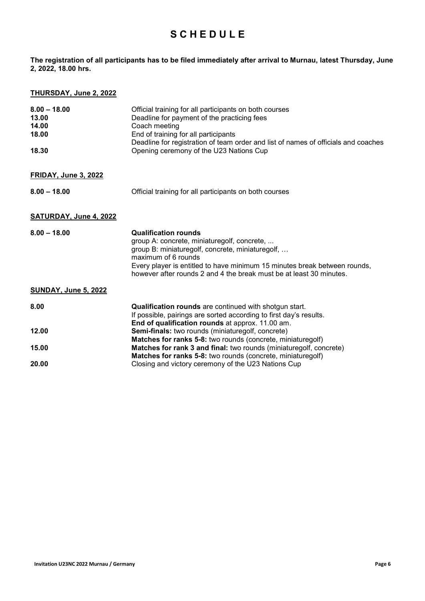### **SCHEDULE**

The registration of all participants has to be filed immediately after arrival to Murnau, latest Thursday, June 2, 2022, 18.00 hrs.

#### THURSDAY, June 2, 2022

| $8.00 - 18.00$<br>13.00<br>14.00<br>18.00<br>18.30 | Official training for all participants on both courses<br>Deadline for payment of the practicing fees<br>Coach meeting<br>End of training for all participants<br>Deadline for registration of team order and list of names of officials and coaches<br>Opening ceremony of the U23 Nations Cup           |
|----------------------------------------------------|-----------------------------------------------------------------------------------------------------------------------------------------------------------------------------------------------------------------------------------------------------------------------------------------------------------|
| <b>FRIDAY, June 3, 2022</b>                        |                                                                                                                                                                                                                                                                                                           |
| $8.00 - 18.00$                                     | Official training for all participants on both courses                                                                                                                                                                                                                                                    |
| <b>SATURDAY, June 4, 2022</b>                      |                                                                                                                                                                                                                                                                                                           |
| $8.00 - 18.00$                                     | <b>Qualification rounds</b><br>group A: concrete, miniaturegolf, concrete,<br>group B: miniaturegolf, concrete, miniaturegolf,<br>maximum of 6 rounds<br>Every player is entitled to have minimum 15 minutes break between rounds,<br>however after rounds 2 and 4 the break must be at least 30 minutes. |
| <b>SUNDAY, June 5, 2022</b>                        |                                                                                                                                                                                                                                                                                                           |
| 8.00                                               | Qualification rounds are continued with shotgun start.<br>If possible, pairings are sorted according to first day's results.<br>End of qualification rounds at approx. 11.00 am.                                                                                                                          |
| 12.00                                              | Semi-finals: two rounds (miniaturegolf, concrete)<br>Matches for ranks 5-8: two rounds (concrete, miniaturegolf)                                                                                                                                                                                          |
| 15.00                                              | Matches for rank 3 and final: two rounds (miniaturegolf, concrete)<br>Matches for ranks 5-8: two rounds (concrete, miniaturegolf)                                                                                                                                                                         |
| 20.00                                              | Closing and victory ceremony of the U23 Nations Cup                                                                                                                                                                                                                                                       |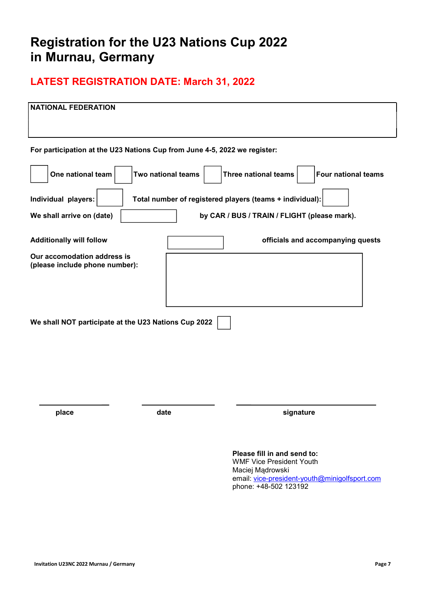# Registration for the U23 Nations Cup 2022 in Murnau, Germany

## LATEST REGISTRATION DATE: March 31, 2022

| <b>NATIONAL FEDERATION</b>                                                |                    |                                                                                                                                                              |
|---------------------------------------------------------------------------|--------------------|--------------------------------------------------------------------------------------------------------------------------------------------------------------|
| For participation at the U23 Nations Cup from June 4-5, 2022 we register: |                    |                                                                                                                                                              |
| One national team                                                         | Two national teams | <b>Three national teams</b><br><b>Four national teams</b>                                                                                                    |
| Individual players:                                                       |                    | Total number of registered players (teams + individual):                                                                                                     |
| We shall arrive on (date)                                                 |                    | by CAR / BUS / TRAIN / FLIGHT (please mark).                                                                                                                 |
| <b>Additionally will follow</b>                                           |                    | officials and accompanying quests                                                                                                                            |
| Our accomodation address is<br>(please include phone number):             |                    |                                                                                                                                                              |
| We shall NOT participate at the U23 Nations Cup 2022                      |                    |                                                                                                                                                              |
| place                                                                     | date               | signature                                                                                                                                                    |
|                                                                           |                    | Please fill in and send to:<br><b>WMF Vice President Youth</b><br>Maciej Mądrowski<br>email: vice-president-youth@minigolfsport.com<br>phone: +48-502 123192 |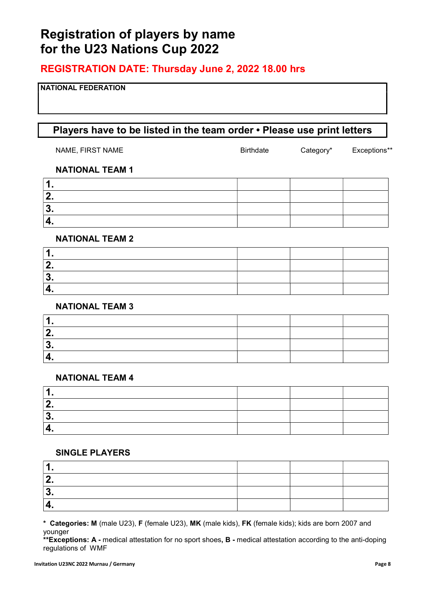# Registration of players by name for the U23 Nations Cup 2022

### REGISTRATION DATE: Thursday June 2, 2022 18.00 hrs

#### NATIONAL FEDERATION

### Players have to be listed in the team order • Please use print letters

| NAME, FIRST NAME | <b>Birthdate</b> | Category* | Exceptions** |
|------------------|------------------|-----------|--------------|
|                  |                  |           |              |

#### NATIONAL TEAM 1

#### NATIONAL TEAM 2

#### NATIONAL TEAM 3

| . . |  |  |
|-----|--|--|

#### NATIONAL TEAM 4

#### SINGLE PLAYERS

\* Categories: M (male U23), F (female U23), MK (male kids), FK (female kids); kids are born 2007 and younger

\*\*Exceptions: A - medical attestation for no sport shoes, B - medical attestation according to the anti-doping regulations of WMF